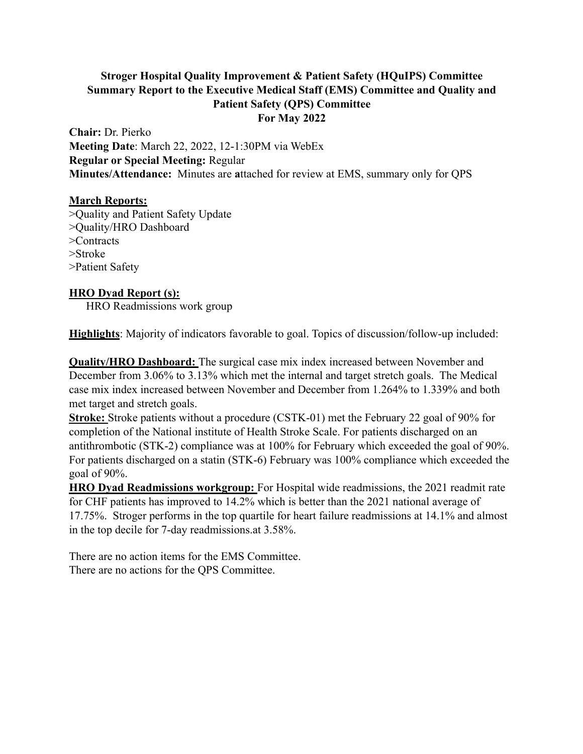# **Stroger Hospital Quality Improvement & Patient Safety (HQuIPS) Committee Summary Report to the Executive Medical Staff (EMS) Committee and Quality and Patient Safety (QPS) Committee For May 2022**

**Chair:** Dr. Pierko **Meeting Date**: March 22, 2022, 12-1:30PM via WebEx **Regular or Special Meeting:** Regular **Minutes/Attendance:** Minutes are **a**ttached for review at EMS, summary only for QPS

## **March Reports:**

>Quality and Patient Safety Update >Quality/HRO Dashboard >Contracts >Stroke >Patient Safety

## **HRO Dyad Report (s):**

HRO Readmissions work group

**Highlights**: Majority of indicators favorable to goal. Topics of discussion/follow-up included:

**Quality/HRO Dashboard:** The surgical case mix index increased between November and December from 3.06% to 3.13% which met the internal and target stretch goals. The Medical case mix index increased between November and December from 1.264% to 1.339% and both met target and stretch goals.

**Stroke:** Stroke patients without a procedure (CSTK-01) met the February 22 goal of 90% for completion of the National institute of Health Stroke Scale. For patients discharged on an antithrombotic (STK-2) compliance was at 100% for February which exceeded the goal of 90%. For patients discharged on a statin (STK-6) February was 100% compliance which exceeded the goal of 90%.

**HRO Dyad Readmissions workgroup:** For Hospital wide readmissions, the 2021 readmit rate for CHF patients has improved to 14.2% which is better than the 2021 national average of 17.75%. Stroger performs in the top quartile for heart failure readmissions at 14.1% and almost in the top decile for 7-day readmissions.at 3.58%.

There are no action items for the EMS Committee. There are no actions for the QPS Committee.